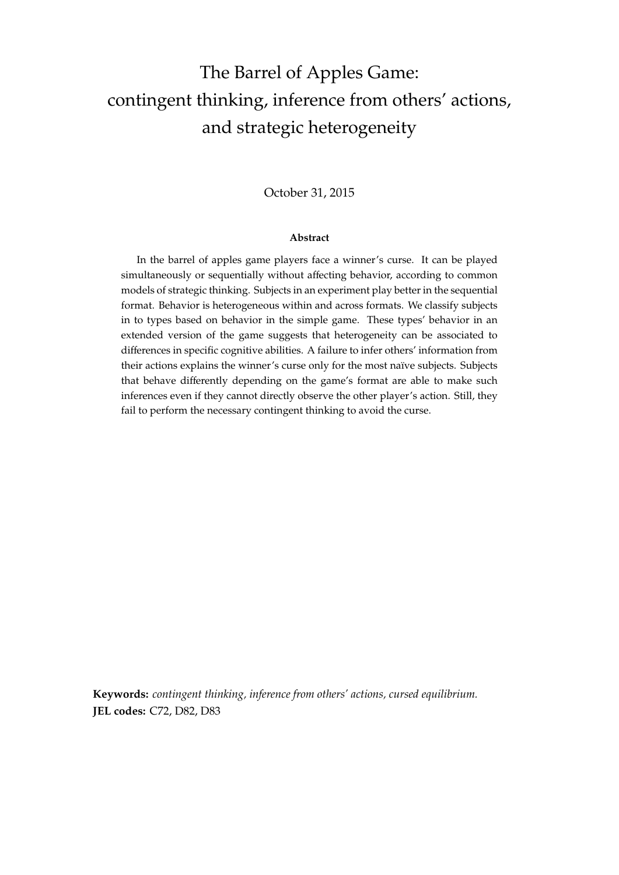# The Barrel of Apples Game: contingent thinking, inference from others' actions, and strategic heterogeneity

## October 31, 2015

#### **Abstract**

In the barrel of apples game players face a winner's curse. It can be played simultaneously or sequentially without affecting behavior, according to common models of strategic thinking. Subjects in an experiment play better in the sequential format. Behavior is heterogeneous within and across formats. We classify subjects in to types based on behavior in the simple game. These types' behavior in an extended version of the game suggests that heterogeneity can be associated to differences in specific cognitive abilities. A failure to infer others' information from their actions explains the winner's curse only for the most naïve subjects. Subjects that behave differently depending on the game's format are able to make such inferences even if they cannot directly observe the other player's action. Still, they fail to perform the necessary contingent thinking to avoid the curse.

**Keywords:** *contingent thinking, inference from others' actions, cursed equilibrium.* **JEL codes:** C72, D82, D83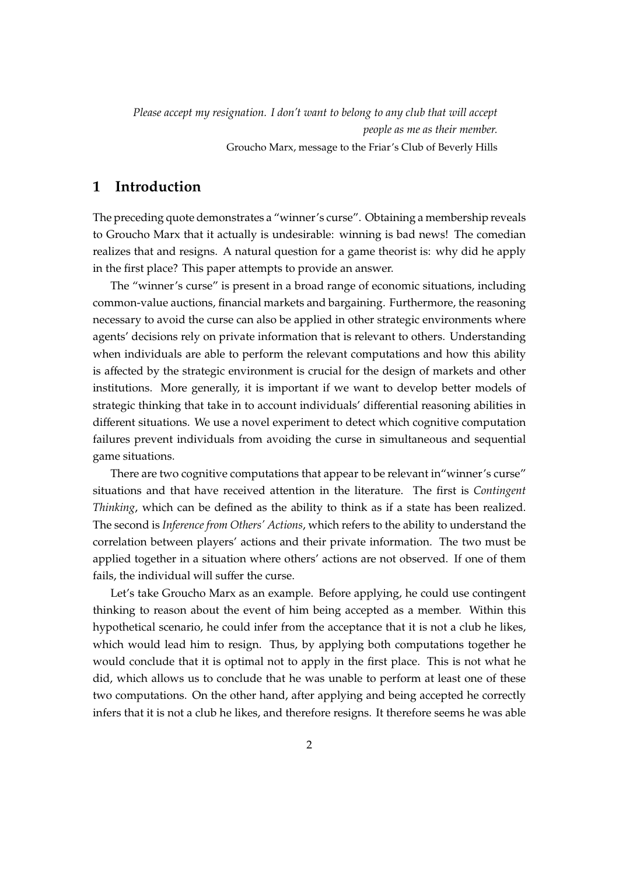*Please accept my resignation. I don't want to belong to any club that will accept people as me as their member.* Groucho Marx, message to the Friar's Club of Beverly Hills

# **1 Introduction**

The preceding quote demonstrates a "winner's curse". Obtaining a membership reveals to Groucho Marx that it actually is undesirable: winning is bad news! The comedian realizes that and resigns. A natural question for a game theorist is: why did he apply in the first place? This paper attempts to provide an answer.

The "winner's curse" is present in a broad range of economic situations, including common-value auctions, financial markets and bargaining. Furthermore, the reasoning necessary to avoid the curse can also be applied in other strategic environments where agents' decisions rely on private information that is relevant to others. Understanding when individuals are able to perform the relevant computations and how this ability is affected by the strategic environment is crucial for the design of markets and other institutions. More generally, it is important if we want to develop better models of strategic thinking that take in to account individuals' differential reasoning abilities in different situations. We use a novel experiment to detect which cognitive computation failures prevent individuals from avoiding the curse in simultaneous and sequential game situations.

There are two cognitive computations that appear to be relevant in"winner's curse" situations and that have received attention in the literature. The first is *Contingent Thinking*, which can be defined as the ability to think as if a state has been realized. The second is *Inference from Others' Actions*, which refers to the ability to understand the correlation between players' actions and their private information. The two must be applied together in a situation where others' actions are not observed. If one of them fails, the individual will suffer the curse.

Let's take Groucho Marx as an example. Before applying, he could use contingent thinking to reason about the event of him being accepted as a member. Within this hypothetical scenario, he could infer from the acceptance that it is not a club he likes, which would lead him to resign. Thus, by applying both computations together he would conclude that it is optimal not to apply in the first place. This is not what he did, which allows us to conclude that he was unable to perform at least one of these two computations. On the other hand, after applying and being accepted he correctly infers that it is not a club he likes, and therefore resigns. It therefore seems he was able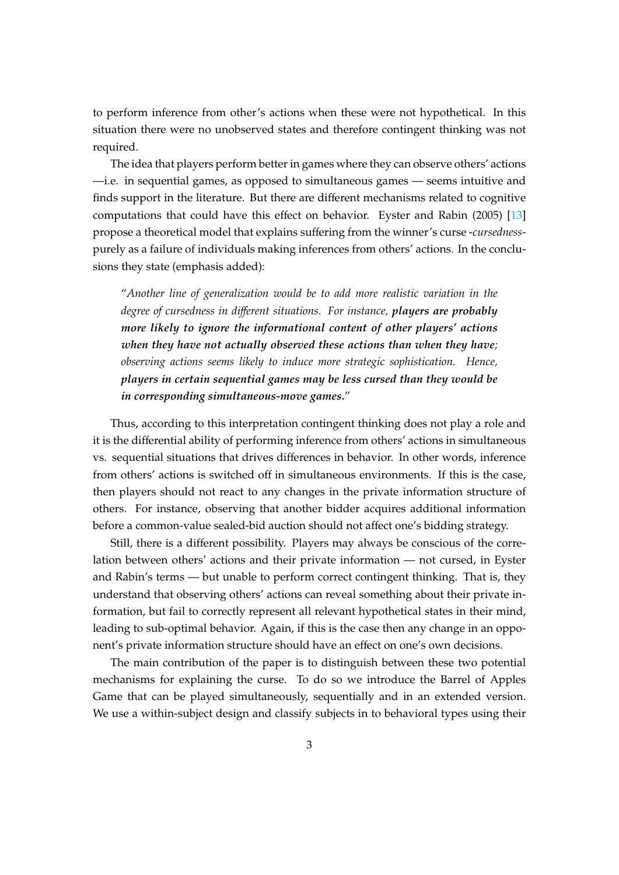to perform inference from other's actions when these were not hypothetical. In this situation there were no unobserved states and therefore contingent thinking was not required.

The idea that players perform better in games where they can observe others' actions —i.e. in sequential games, as opposed to simultaneous games — seems intuitive and finds support in the literature. But there are different mechanisms related to cognitive computations that could have this effect on behavior. Eyster and Rabin (2005) [\[13\]](#page-24-0) propose a theoretical model that explains suffering from the winner's curse -*cursedness*purely as a failure of individuals making inferences from others' actions. In the conclusions they state (emphasis added):

"*Another line of generalization would be to add more realistic variation in the degree of cursedness in di*ff*erent situations. For instance, players are probably more likely to ignore the informational content of other players' actions when they have not actually observed these actions than when they have; observing actions seems likely to induce more strategic sophistication. Hence, players in certain sequential games may be less cursed than they would be in corresponding simultaneous-move games.*"

Thus, according to this interpretation contingent thinking does not play a role and it is the differential ability of performing inference from others' actions in simultaneous vs. sequential situations that drives differences in behavior. In other words, inference from others' actions is switched off in simultaneous environments. If this is the case, then players should not react to any changes in the private information structure of others. For instance, observing that another bidder acquires additional information before a common-value sealed-bid auction should not affect one's bidding strategy.

Still, there is a different possibility. Players may always be conscious of the correlation between others' actions and their private information — not cursed, in Eyster and Rabin's terms — but unable to perform correct contingent thinking. That is, they understand that observing others' actions can reveal something about their private information, but fail to correctly represent all relevant hypothetical states in their mind, leading to sub-optimal behavior. Again, if this is the case then any change in an opponent's private information structure should have an effect on one's own decisions.

The main contribution of the paper is to distinguish between these two potential mechanisms for explaining the curse. To do so we introduce the Barrel of Apples Game that can be played simultaneously, sequentially and in an extended version. We use a within-subject design and classify subjects in to behavioral types using their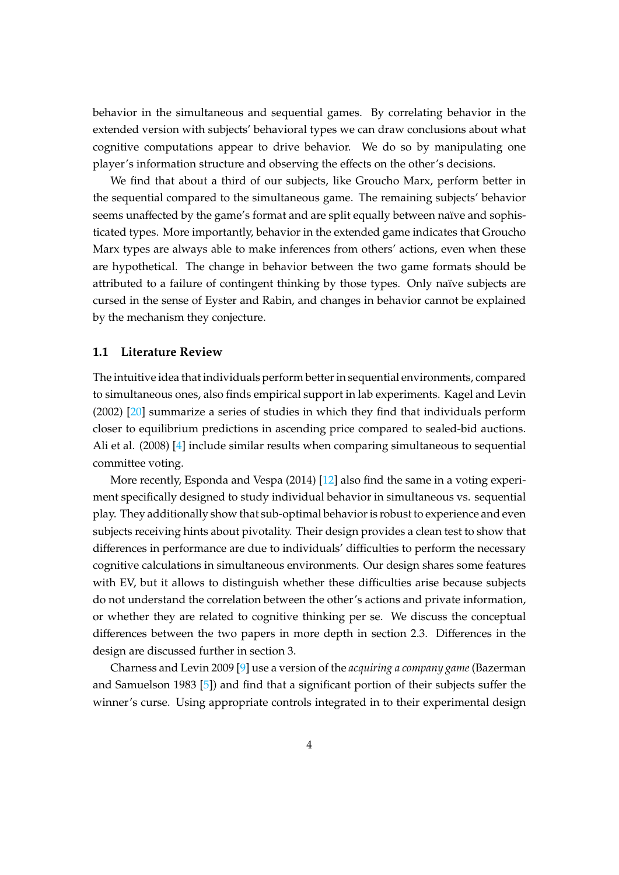behavior in the simultaneous and sequential games. By correlating behavior in the extended version with subjects' behavioral types we can draw conclusions about what cognitive computations appear to drive behavior. We do so by manipulating one player's information structure and observing the effects on the other's decisions.

We find that about a third of our subjects, like Groucho Marx, perform better in the sequential compared to the simultaneous game. The remaining subjects' behavior seems unaffected by the game's format and are split equally between naïve and sophisticated types. More importantly, behavior in the extended game indicates that Groucho Marx types are always able to make inferences from others' actions, even when these are hypothetical. The change in behavior between the two game formats should be attributed to a failure of contingent thinking by those types. Only naïve subjects are cursed in the sense of Eyster and Rabin, and changes in behavior cannot be explained by the mechanism they conjecture.

### **1.1 Literature Review**

The intuitive idea that individuals perform better in sequential environments, compared to simultaneous ones, also finds empirical support in lab experiments. Kagel and Levin (2002) [\[20\]](#page-24-1) summarize a series of studies in which they find that individuals perform closer to equilibrium predictions in ascending price compared to sealed-bid auctions. Ali et al. (2008) [\[4\]](#page-23-0) include similar results when comparing simultaneous to sequential committee voting.

More recently, Esponda and Vespa (2014) [\[12\]](#page-24-2) also find the same in a voting experiment specifically designed to study individual behavior in simultaneous vs. sequential play. They additionally show that sub-optimal behavior is robust to experience and even subjects receiving hints about pivotality. Their design provides a clean test to show that differences in performance are due to individuals' difficulties to perform the necessary cognitive calculations in simultaneous environments. Our design shares some features with EV, but it allows to distinguish whether these difficulties arise because subjects do not understand the correlation between the other's actions and private information, or whether they are related to cognitive thinking per se. We discuss the conceptual differences between the two papers in more depth in section [2.3.](#page-9-0) Differences in the design are discussed further in section [3.](#page-10-0)

Charness and Levin 2009 [\[9\]](#page-23-1) use a version of the *acquiring a company game* (Bazerman and Samuelson 1983 [\[5\]](#page-23-2)) and find that a significant portion of their subjects suffer the winner's curse. Using appropriate controls integrated in to their experimental design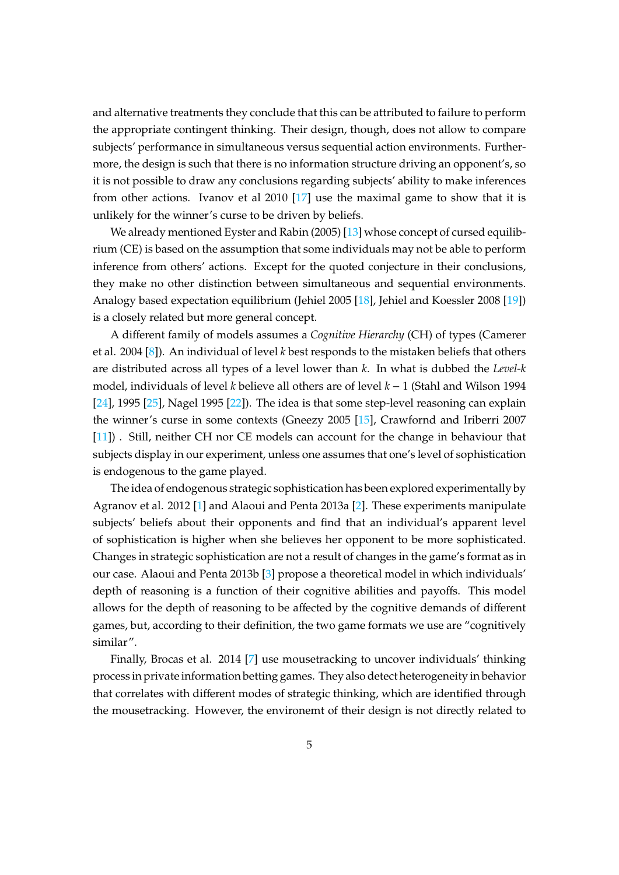and alternative treatments they conclude that this can be attributed to failure to perform the appropriate contingent thinking. Their design, though, does not allow to compare subjects' performance in simultaneous versus sequential action environments. Furthermore, the design is such that there is no information structure driving an opponent's, so it is not possible to draw any conclusions regarding subjects' ability to make inferences from other actions. Ivanov et al 2010 [\[17\]](#page-24-3) use the maximal game to show that it is unlikely for the winner's curse to be driven by beliefs.

We already mentioned Eyster and Rabin (2005) [\[13\]](#page-24-0) whose concept of cursed equilibrium (CE) is based on the assumption that some individuals may not be able to perform inference from others' actions. Except for the quoted conjecture in their conclusions, they make no other distinction between simultaneous and sequential environments. Analogy based expectation equilibrium (Jehiel 2005 [\[18\]](#page-24-4), Jehiel and Koessler 2008 [\[19\]](#page-24-5)) is a closely related but more general concept.

A different family of models assumes a *Cognitive Hierarchy* (CH) of types (Camerer et al. 2004 [\[8\]](#page-23-3)). An individual of level *k* best responds to the mistaken beliefs that others are distributed across all types of a level lower than *k*. In what is dubbed the *Level-k* model, individuals of level *k* believe all others are of level *k* − 1 (Stahl and Wilson 1994 [\[24\]](#page-24-6), 1995 [\[25\]](#page-24-7), Nagel 1995 [\[22\]](#page-24-8)). The idea is that some step-level reasoning can explain the winner's curse in some contexts (Gneezy 2005 [\[15\]](#page-24-9), Crawfornd and Iriberri 2007 [\[11\]](#page-23-4)). Still, neither CH nor CE models can account for the change in behaviour that subjects display in our experiment, unless one assumes that one's level of sophistication is endogenous to the game played.

The idea of endogenous strategic sophistication has been explored experimentally by Agranov et al. 2012 [\[1\]](#page-23-5) and Alaoui and Penta 2013a [\[2\]](#page-23-6). These experiments manipulate subjects' beliefs about their opponents and find that an individual's apparent level of sophistication is higher when she believes her opponent to be more sophisticated. Changes in strategic sophistication are not a result of changes in the game's format as in our case. Alaoui and Penta 2013b [\[3\]](#page-23-7) propose a theoretical model in which individuals' depth of reasoning is a function of their cognitive abilities and payoffs. This model allows for the depth of reasoning to be affected by the cognitive demands of different games, but, according to their definition, the two game formats we use are "cognitively similar".

Finally, Brocas et al. 2014 [\[7\]](#page-23-8) use mousetracking to uncover individuals' thinking process in private information betting games. They also detect heterogeneity in behavior that correlates with different modes of strategic thinking, which are identified through the mousetracking. However, the environemt of their design is not directly related to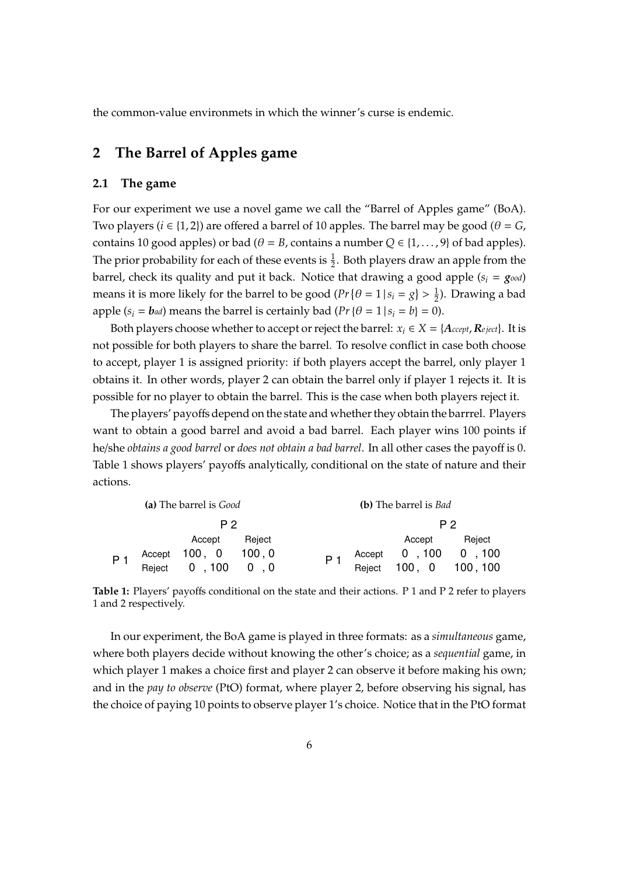the common-value environmets in which the winner's curse is endemic.

# **2 The Barrel of Apples game**

## **2.1 The game**

For our experiment we use a novel game we call the "Barrel of Apples game" (BoA). Two players ( $i \in \{1, 2\}$ ) are offered a barrel of 10 apples. The barrel may be good ( $\theta = G$ , contains 10 good apples) or bad ( $\theta = B$ , contains a number  $Q \in \{1, ..., 9\}$  of bad apples). The prior probability for each of these events is  $\frac{1}{2}$ . Both players draw an apple from the barrel, check its quality and put it back. Notice that drawing a good apple  $(s_i = g_{ood})$ means it is more likely for the barrel to be good  $(Pr{ \theta = 1 | s_i = g } > \frac{1}{2}$  $\frac{1}{2}$ ). Drawing a bad apple  $(s_i = \mathbf{b}_{ad})$  means the barrel is certainly bad  $(\Pr{\theta = 1 | s_i = b} = 0)$ .

Both players choose whether to accept or reject the barrel:  $x_i \in X = \{Accept, Reject\}$ . It is not possible for both players to share the barrel. To resolve conflict in case both choose to accept, player 1 is assigned priority: if both players accept the barrel, only player 1 obtains it. In other words, player 2 can obtain the barrel only if player 1 rejects it. It is possible for no player to obtain the barrel. This is the case when both players reject it.

The players' payoffs depend on the state and whether they obtain the barrrel. Players want to obtain a good barrel and avoid a bad barrel. Each player wins 100 points if he/she *obtains a good barrel* or *does not obtain a bad barrel*. In all other cases the payoff is 0. Table [1](#page-5-0) shows players' payoffs analytically, conditional on the state of nature and their actions.

<span id="page-5-0"></span>

|       | (a) The barrel is <i>Good</i>              |        | (b) The barrel is <i>Bad</i> |                                                  |        |  |  |  |
|-------|--------------------------------------------|--------|------------------------------|--------------------------------------------------|--------|--|--|--|
|       | P 2                                        |        | P 2                          |                                                  |        |  |  |  |
|       | Accept                                     | Reject |                              | Accept                                           | Reject |  |  |  |
| $P_1$ |                                            |        |                              |                                                  |        |  |  |  |
|       | Accept 100, 0 100, 0<br>Reject 0, 100 0, 0 |        |                              | Accept 0 , 100 0 , 100<br>Reject 100, 0 100, 100 |        |  |  |  |

**Table 1:** Players' payoffs conditional on the state and their actions. P 1 and P 2 refer to players 1 and 2 respectively.

In our experiment, the BoA game is played in three formats: as a *simultaneous* game, where both players decide without knowing the other's choice; as a *sequential* game, in which player 1 makes a choice first and player 2 can observe it before making his own; and in the *pay to observe* (PtO) format, where player 2, before observing his signal, has the choice of paying 10 points to observe player 1's choice. Notice that in the PtO format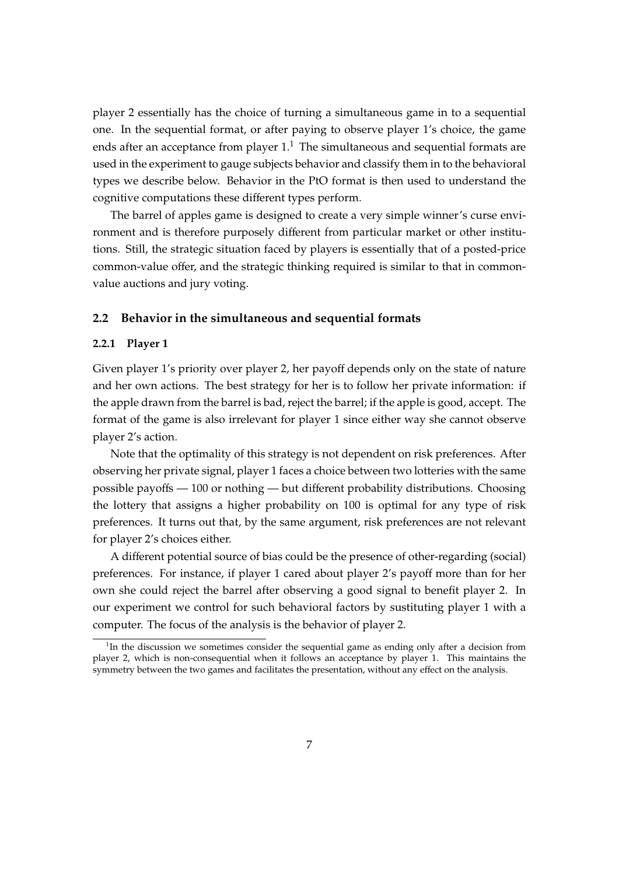player 2 essentially has the choice of turning a simultaneous game in to a sequential one. In the sequential format, or after paying to observe player 1's choice, the game ends after an acceptance from player  $1<sup>1</sup>$  $1<sup>1</sup>$ . The simultaneous and sequential formats are used in the experiment to gauge subjects behavior and classify them in to the behavioral types we describe below. Behavior in the PtO format is then used to understand the cognitive computations these different types perform.

The barrel of apples game is designed to create a very simple winner's curse environment and is therefore purposely different from particular market or other institutions. Still, the strategic situation faced by players is essentially that of a posted-price common-value offer, and the strategic thinking required is similar to that in commonvalue auctions and jury voting.

#### **2.2 Behavior in the simultaneous and sequential formats**

#### **2.2.1 Player 1**

Given player 1's priority over player 2, her payoff depends only on the state of nature and her own actions. The best strategy for her is to follow her private information: if the apple drawn from the barrel is bad, reject the barrel; if the apple is good, accept. The format of the game is also irrelevant for player 1 since either way she cannot observe player 2's action.

Note that the optimality of this strategy is not dependent on risk preferences. After observing her private signal, player 1 faces a choice between two lotteries with the same possible payoffs — 100 or nothing — but different probability distributions. Choosing the lottery that assigns a higher probability on 100 is optimal for any type of risk preferences. It turns out that, by the same argument, risk preferences are not relevant for player 2's choices either.

A different potential source of bias could be the presence of other-regarding (social) preferences. For instance, if player 1 cared about player 2's payoff more than for her own she could reject the barrel after observing a good signal to benefit player 2. In our experiment we control for such behavioral factors by sustituting player 1 with a computer. The focus of the analysis is the behavior of player 2.

<span id="page-6-0"></span><sup>&</sup>lt;sup>1</sup>In the discussion we sometimes consider the sequential game as ending only after a decision from player 2, which is non-consequential when it follows an acceptance by player 1. This maintains the symmetry between the two games and facilitates the presentation, without any effect on the analysis.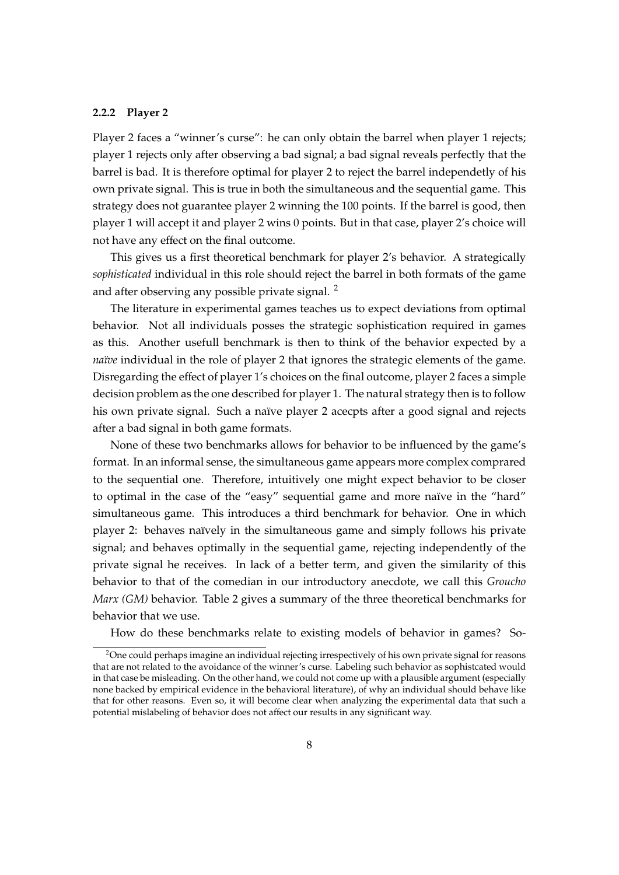### **2.2.2 Player 2**

Player 2 faces a "winner's curse": he can only obtain the barrel when player 1 rejects; player 1 rejects only after observing a bad signal; a bad signal reveals perfectly that the barrel is bad. It is therefore optimal for player 2 to reject the barrel independetly of his own private signal. This is true in both the simultaneous and the sequential game. This strategy does not guarantee player 2 winning the 100 points. If the barrel is good, then player 1 will accept it and player 2 wins 0 points. But in that case, player 2's choice will not have any effect on the final outcome.

This gives us a first theoretical benchmark for player 2's behavior. A strategically *sophisticated* individual in this role should reject the barrel in both formats of the game and after observing any possible private signal. [2](#page-7-0)

The literature in experimental games teaches us to expect deviations from optimal behavior. Not all individuals posses the strategic sophistication required in games as this. Another usefull benchmark is then to think of the behavior expected by a *naïve* individual in the role of player 2 that ignores the strategic elements of the game. Disregarding the effect of player 1's choices on the final outcome, player 2 faces a simple decision problem as the one described for player 1. The natural strategy then is to follow his own private signal. Such a naïve player 2 acecpts after a good signal and rejects after a bad signal in both game formats.

None of these two benchmarks allows for behavior to be influenced by the game's format. In an informal sense, the simultaneous game appears more complex comprared to the sequential one. Therefore, intuitively one might expect behavior to be closer to optimal in the case of the "easy" sequential game and more naïve in the "hard" simultaneous game. This introduces a third benchmark for behavior. One in which player 2: behaves naïvely in the simultaneous game and simply follows his private signal; and behaves optimally in the sequential game, rejecting independently of the private signal he receives. In lack of a better term, and given the similarity of this behavior to that of the comedian in our introductory anecdote, we call this *Groucho Marx (GM)* behavior. Table [2](#page-8-0) gives a summary of the three theoretical benchmarks for behavior that we use.

How do these benchmarks relate to existing models of behavior in games? So-

<span id="page-7-0"></span><sup>&</sup>lt;sup>2</sup>One could perhaps imagine an individual rejecting irrespectively of his own private signal for reasons that are not related to the avoidance of the winner's curse. Labeling such behavior as sophistcated would in that case be misleading. On the other hand, we could not come up with a plausible argument (especially none backed by empirical evidence in the behavioral literature), of why an individual should behave like that for other reasons. Even so, it will become clear when analyzing the experimental data that such a potential mislabeling of behavior does not affect our results in any significant way.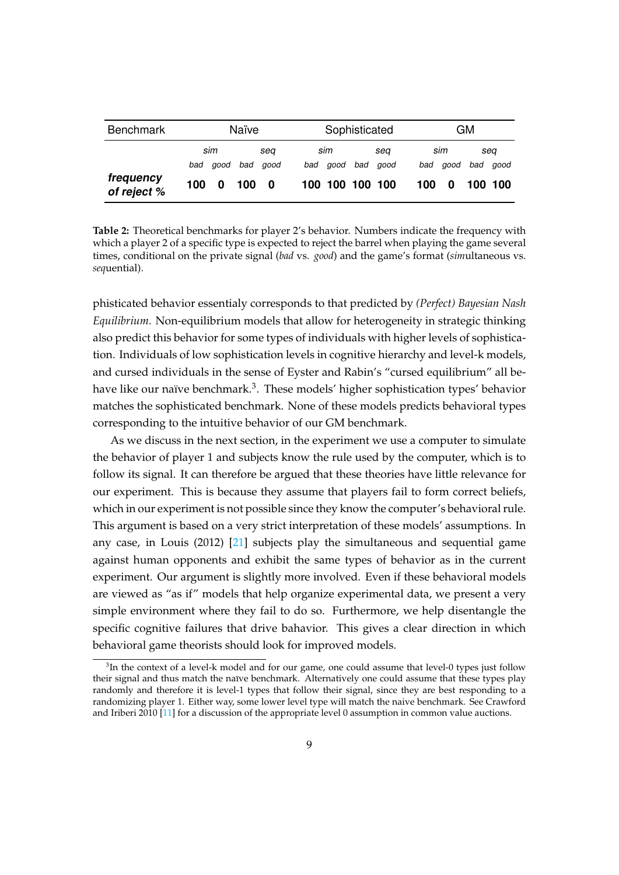<span id="page-8-0"></span>

| <b>Benchmark</b>         | Naïve |      |     | Sophisticated |  |                 |  |          | GМ  |      |     |         |
|--------------------------|-------|------|-----|---------------|--|-----------------|--|----------|-----|------|-----|---------|
|                          |       | sim  |     | sea           |  | sim             |  | sea      |     | sim  |     | sea     |
|                          | bad   | good | bad | aood          |  | bad good        |  | bad good | bad | good | bad | good    |
| frequency<br>of reject % | 100   | 0    | 100 | - 0           |  | 100 100 100 100 |  |          | 100 | 0    |     | 100 100 |

**Table 2:** Theoretical benchmarks for player 2's behavior. Numbers indicate the frequency with which a player 2 of a specific type is expected to reject the barrel when playing the game several times, conditional on the private signal (*bad* vs. *good*) and the game's format (*sim*ultaneous vs. *seq*uential).

phisticated behavior essentialy corresponds to that predicted by *(Perfect) Bayesian Nash Equilibrium*. Non-equilibrium models that allow for heterogeneity in strategic thinking also predict this behavior for some types of individuals with higher levels of sophistication. Individuals of low sophistication levels in cognitive hierarchy and level-k models, and cursed individuals in the sense of Eyster and Rabin's "cursed equilibrium" all be-have like our naïve benchmark.<sup>[3](#page-8-1)</sup>. These models' higher sophistication types' behavior matches the sophisticated benchmark. None of these models predicts behavioral types corresponding to the intuitive behavior of our GM benchmark.

As we discuss in the next section, in the experiment we use a computer to simulate the behavior of player 1 and subjects know the rule used by the computer, which is to follow its signal. It can therefore be argued that these theories have little relevance for our experiment. This is because they assume that players fail to form correct beliefs, which in our experiment is not possible since they know the computer's behavioral rule. This argument is based on a very strict interpretation of these models' assumptions. In any case, in Louis (2012) [\[21\]](#page-24-10) subjects play the simultaneous and sequential game against human opponents and exhibit the same types of behavior as in the current experiment. Our argument is slightly more involved. Even if these behavioral models are viewed as "as if" models that help organize experimental data, we present a very simple environment where they fail to do so. Furthermore, we help disentangle the specific cognitive failures that drive bahavior. This gives a clear direction in which behavioral game theorists should look for improved models.

<span id="page-8-1"></span> ${}^{3}$ In the context of a level-k model and for our game, one could assume that level-0 types just follow their signal and thus match the naïve benchmark. Alternatively one could assume that these types play randomly and therefore it is level-1 types that follow their signal, since they are best responding to a randomizing player 1. Either way, some lower level type will match the naive benchmark. See Crawford and Iriberi 2010 [\[11\]](#page-23-4) for a discussion of the appropriate level 0 assumption in common value auctions.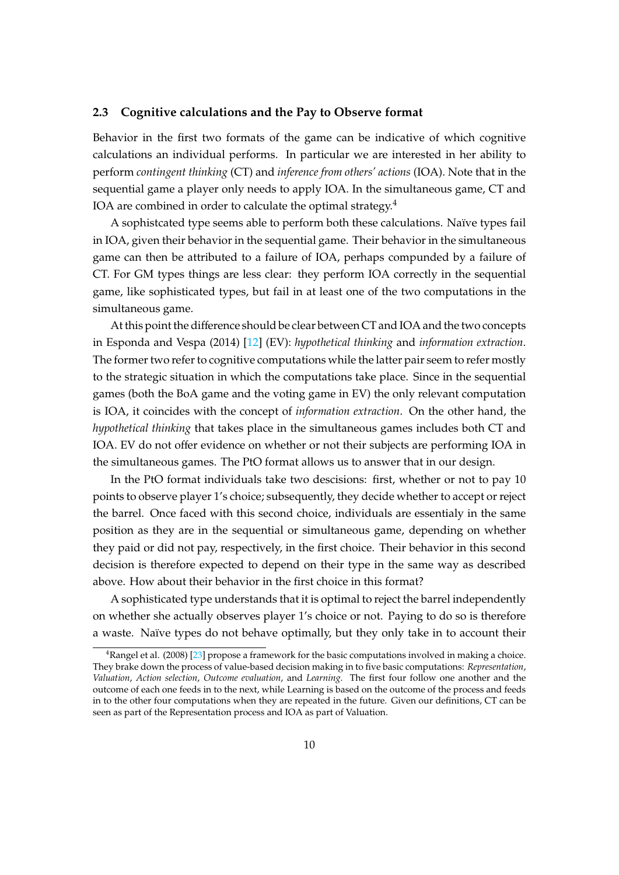## <span id="page-9-0"></span>**2.3 Cognitive calculations and the Pay to Observe format**

Behavior in the first two formats of the game can be indicative of which cognitive calculations an individual performs. In particular we are interested in her ability to perform *contingent thinking* (CT) and *inference from others' actions* (IOA). Note that in the sequential game a player only needs to apply IOA. In the simultaneous game, CT and IOA are combined in order to calculate the optimal strategy.[4](#page-9-1)

A sophistcated type seems able to perform both these calculations. Naïve types fail in IOA, given their behavior in the sequential game. Their behavior in the simultaneous game can then be attributed to a failure of IOA, perhaps compunded by a failure of CT. For GM types things are less clear: they perform IOA correctly in the sequential game, like sophisticated types, but fail in at least one of the two computations in the simultaneous game.

At this point the difference should be clear between CT and IOA and the two concepts in Esponda and Vespa (2014) [\[12\]](#page-24-2) (EV): *hypothetical thinking* and *information extraction*. The former two refer to cognitive computations while the latter pair seem to refer mostly to the strategic situation in which the computations take place. Since in the sequential games (both the BoA game and the voting game in EV) the only relevant computation is IOA, it coincides with the concept of *information extraction*. On the other hand, the *hypothetical thinking* that takes place in the simultaneous games includes both CT and IOA. EV do not offer evidence on whether or not their subjects are performing IOA in the simultaneous games. The PtO format allows us to answer that in our design.

In the PtO format individuals take two descisions: first, whether or not to pay 10 points to observe player 1's choice; subsequently, they decide whether to accept or reject the barrel. Once faced with this second choice, individuals are essentialy in the same position as they are in the sequential or simultaneous game, depending on whether they paid or did not pay, respectively, in the first choice. Their behavior in this second decision is therefore expected to depend on their type in the same way as described above. How about their behavior in the first choice in this format?

A sophisticated type understands that it is optimal to reject the barrel independently on whether she actually observes player 1's choice or not. Paying to do so is therefore a waste. Naïve types do not behave optimally, but they only take in to account their

<span id="page-9-1"></span><sup>&</sup>lt;sup>4</sup>Rangel et al. (2008) [\[23\]](#page-24-11) propose a framework for the basic computations involved in making a choice. They brake down the process of value-based decision making in to five basic computations: *Representation*, *Valuation*, *Action selection*, *Outcome evaluation*, and *Learning*. The first four follow one another and the outcome of each one feeds in to the next, while Learning is based on the outcome of the process and feeds in to the other four computations when they are repeated in the future. Given our definitions, CT can be seen as part of the Representation process and IOA as part of Valuation.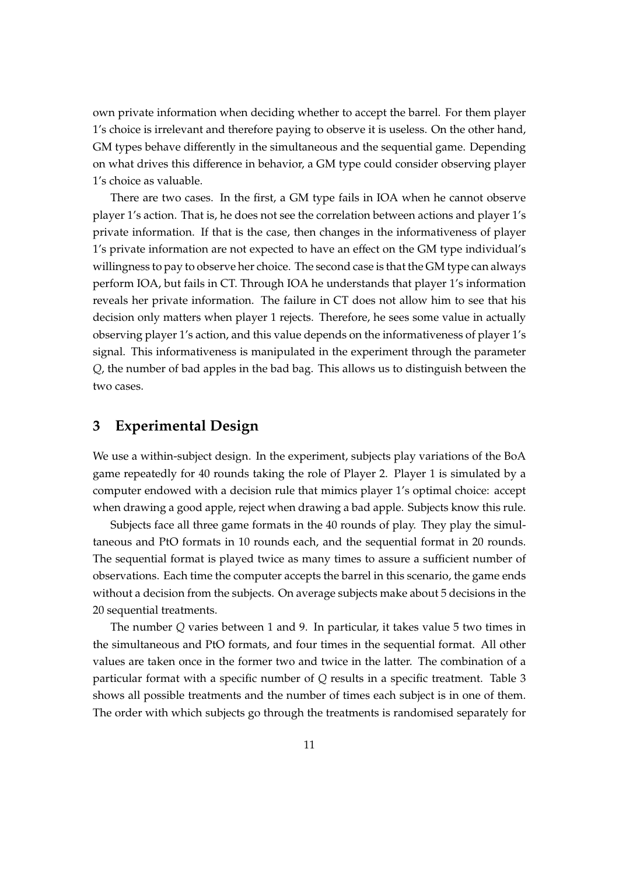own private information when deciding whether to accept the barrel. For them player 1's choice is irrelevant and therefore paying to observe it is useless. On the other hand, GM types behave differently in the simultaneous and the sequential game. Depending on what drives this difference in behavior, a GM type could consider observing player 1's choice as valuable.

There are two cases. In the first, a GM type fails in IOA when he cannot observe player 1's action. That is, he does not see the correlation between actions and player 1's private information. If that is the case, then changes in the informativeness of player 1's private information are not expected to have an effect on the GM type individual's willingness to pay to observe her choice. The second case is that the GM type can always perform IOA, but fails in CT. Through IOA he understands that player 1's information reveals her private information. The failure in CT does not allow him to see that his decision only matters when player 1 rejects. Therefore, he sees some value in actually observing player 1's action, and this value depends on the informativeness of player 1's signal. This informativeness is manipulated in the experiment through the parameter *Q*, the number of bad apples in the bad bag. This allows us to distinguish between the two cases.

# <span id="page-10-0"></span>**3 Experimental Design**

We use a within-subject design. In the experiment, subjects play variations of the BoA game repeatedly for 40 rounds taking the role of Player 2. Player 1 is simulated by a computer endowed with a decision rule that mimics player 1's optimal choice: accept when drawing a good apple, reject when drawing a bad apple. Subjects know this rule.

Subjects face all three game formats in the 40 rounds of play. They play the simultaneous and PtO formats in 10 rounds each, and the sequential format in 20 rounds. The sequential format is played twice as many times to assure a sufficient number of observations. Each time the computer accepts the barrel in this scenario, the game ends without a decision from the subjects. On average subjects make about 5 decisions in the 20 sequential treatments.

The number *Q* varies between 1 and 9. In particular, it takes value 5 two times in the simultaneous and PtO formats, and four times in the sequential format. All other values are taken once in the former two and twice in the latter. The combination of a particular format with a specific number of *Q* results in a specific treatment. Table [3](#page-11-0) shows all possible treatments and the number of times each subject is in one of them. The order with which subjects go through the treatments is randomised separately for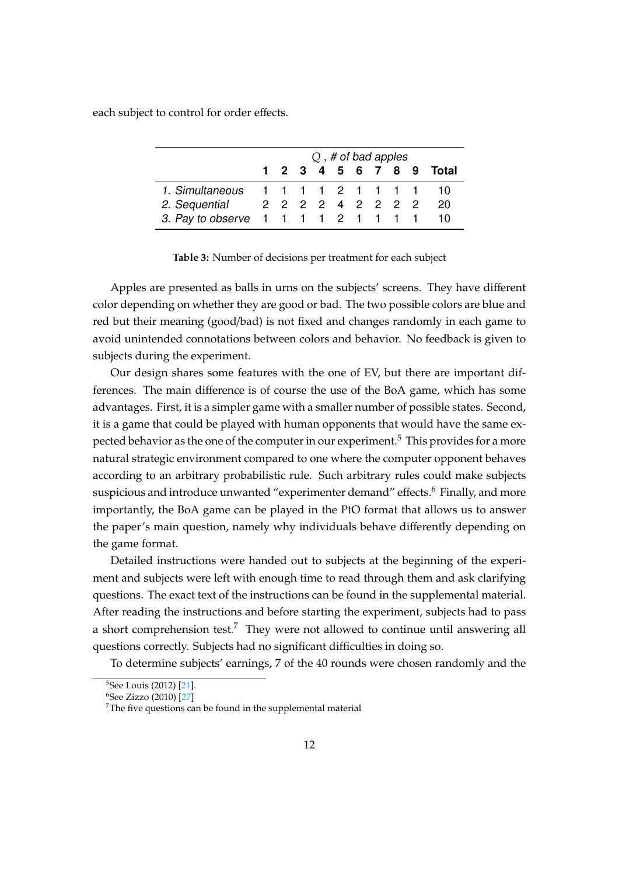<span id="page-11-0"></span>each subject to control for order effects.

|                                           |                   |  | $Q$ , # of bad apples |  |  |                         |
|-------------------------------------------|-------------------|--|-----------------------|--|--|-------------------------|
|                                           |                   |  |                       |  |  | 1 2 3 4 5 6 7 8 9 Total |
| 1. Simultaneous 1 1 1 1 2 1 1 1 1 1 0     |                   |  |                       |  |  |                         |
| 2. Sequential                             | 2 2 2 2 4 2 2 2 2 |  |                       |  |  | 20                      |
| 3. Pay to observe 1 1 1 1 2 1 1 1 1 1 1 0 |                   |  |                       |  |  |                         |

**Table 3:** Number of decisions per treatment for each subject

Apples are presented as balls in urns on the subjects' screens. They have different color depending on whether they are good or bad. The two possible colors are blue and red but their meaning (good/bad) is not fixed and changes randomly in each game to avoid unintended connotations between colors and behavior. No feedback is given to subjects during the experiment.

Our design shares some features with the one of EV, but there are important differences. The main difference is of course the use of the BoA game, which has some advantages. First, it is a simpler game with a smaller number of possible states. Second, it is a game that could be played with human opponents that would have the same expected behavior as the one of the computer in our experiment.[5](#page-11-1) This provides for a more natural strategic environment compared to one where the computer opponent behaves according to an arbitrary probabilistic rule. Such arbitrary rules could make subjects suspicious and introduce unwanted "experimenter demand" effects.<sup>[6](#page-11-2)</sup> Finally, and more importantly, the BoA game can be played in the PtO format that allows us to answer the paper's main question, namely why individuals behave differently depending on the game format.

Detailed instructions were handed out to subjects at the beginning of the experiment and subjects were left with enough time to read through them and ask clarifying questions. The exact text of the instructions can be found in the supplemental material. After reading the instructions and before starting the experiment, subjects had to pass a short comprehension test.<sup>[7](#page-11-3)</sup> They were not allowed to continue until answering all questions correctly. Subjects had no significant difficulties in doing so.

To determine subjects' earnings, 7 of the 40 rounds were chosen randomly and the

<span id="page-11-1"></span><sup>5</sup>See Louis (2012) [\[21\]](#page-24-10).

<span id="page-11-2"></span><sup>6</sup>See Zizzo (2010) [\[27\]](#page-24-12)

<span id="page-11-3"></span><sup>&</sup>lt;sup>7</sup>The five questions can be found in the supplemental material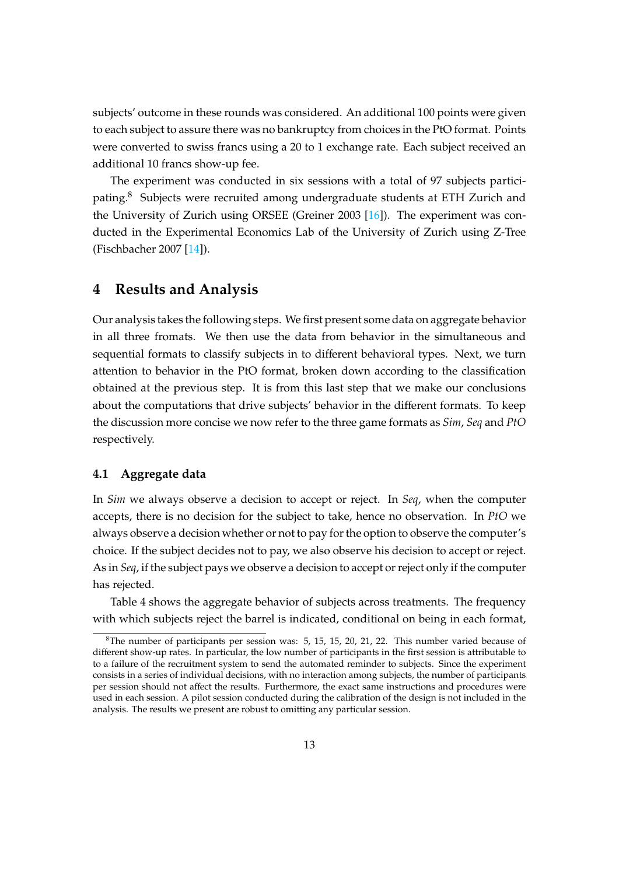subjects' outcome in these rounds was considered. An additional 100 points were given to each subject to assure there was no bankruptcy from choices in the PtO format. Points were converted to swiss francs using a 20 to 1 exchange rate. Each subject received an additional 10 francs show-up fee.

The experiment was conducted in six sessions with a total of 97 subjects partici-pating.<sup>[8](#page-12-0)</sup> Subjects were recruited among undergraduate students at ETH Zurich and the University of Zurich using ORSEE (Greiner 2003 [\[16\]](#page-24-13)). The experiment was conducted in the Experimental Economics Lab of the University of Zurich using Z-Tree (Fischbacher 2007 [\[14\]](#page-24-14)).

# **4 Results and Analysis**

Our analysis takes the following steps. We first present some data on aggregate behavior in all three fromats. We then use the data from behavior in the simultaneous and sequential formats to classify subjects in to different behavioral types. Next, we turn attention to behavior in the PtO format, broken down according to the classification obtained at the previous step. It is from this last step that we make our conclusions about the computations that drive subjects' behavior in the different formats. To keep the discussion more concise we now refer to the three game formats as *Sim*, *Seq* and *PtO* respectively.

# **4.1 Aggregate data**

In *Sim* we always observe a decision to accept or reject. In *Seq*, when the computer accepts, there is no decision for the subject to take, hence no observation. In *PtO* we always observe a decision whether or not to pay for the option to observe the computer's choice. If the subject decides not to pay, we also observe his decision to accept or reject. As in *Seq*, if the subject pays we observe a decision to accept or reject only if the computer has rejected.

Table [4](#page-13-0) shows the aggregate behavior of subjects across treatments. The frequency with which subjects reject the barrel is indicated, conditional on being in each format,

<span id="page-12-0"></span> $8$ The number of participants per session was: 5, 15, 15, 20, 21, 22. This number varied because of different show-up rates. In particular, the low number of participants in the first session is attributable to to a failure of the recruitment system to send the automated reminder to subjects. Since the experiment consists in a series of individual decisions, with no interaction among subjects, the number of participants per session should not affect the results. Furthermore, the exact same instructions and procedures were used in each session. A pilot session conducted during the calibration of the design is not included in the analysis. The results we present are robust to omitting any particular session.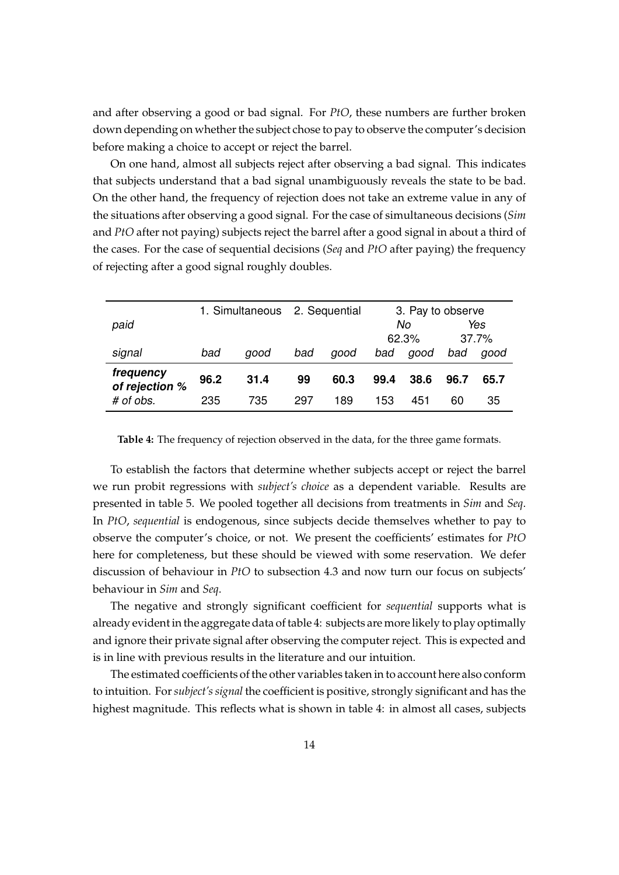and after observing a good or bad signal. For *PtO*, these numbers are further broken down depending on whether the subject chose to pay to observe the computer's decision before making a choice to accept or reject the barrel.

On one hand, almost all subjects reject after observing a bad signal. This indicates that subjects understand that a bad signal unambiguously reveals the state to be bad. On the other hand, the frequency of rejection does not take an extreme value in any of the situations after observing a good signal. For the case of simultaneous decisions (*Sim* and *PtO* after not paying) subjects reject the barrel after a good signal in about a third of the cases. For the case of sequential decisions (*Seq* and *PtO* after paying) the frequency of rejecting after a good signal roughly doubles.

<span id="page-13-0"></span>

|                             |       | 1. Simultaneous |     | 2. Sequential | 3. Pay to observe |      |      |      |
|-----------------------------|-------|-----------------|-----|---------------|-------------------|------|------|------|
| paid                        |       |                 |     |               |                   | No   |      | Yes  |
|                             | 62.3% |                 |     |               | 37.7%             |      |      |      |
| signal                      | bad   | good            | bad | good          | bad               | good | bad  | aood |
| frequency<br>of rejection % | 96.2  | 31.4            | 99  | 60.3          | 99.4              | 38.6 | 96.7 | 65.7 |
| # of obs.                   | 235   | 735             | 297 | 189           | 153               | 451  | 60   | 35   |

**Table 4:** The frequency of rejection observed in the data, for the three game formats.

To establish the factors that determine whether subjects accept or reject the barrel we run probit regressions with *subject's choice* as a dependent variable. Results are presented in table [5.](#page-14-0) We pooled together all decisions from treatments in *Sim* and *Seq*. In *PtO*, *sequential* is endogenous, since subjects decide themselves whether to pay to observe the computer's choice, or not. We present the coefficients' estimates for *PtO* here for completeness, but these should be viewed with some reservation. We defer discussion of behaviour in *PtO* to subsection 4.3 and now turn our focus on subjects' behaviour in *Sim* and *Seq*.

The negative and strongly significant coefficient for *sequential* supports what is already evident in the aggregate data of table [4:](#page-13-0) subjects are more likely to play optimally and ignore their private signal after observing the computer reject. This is expected and is in line with previous results in the literature and our intuition.

The estimated coefficients of the other variables taken in to account here also conform to intuition. For*subject's signal* the coefficient is positive, strongly significant and has the highest magnitude. This reflects what is shown in table [4:](#page-13-0) in almost all cases, subjects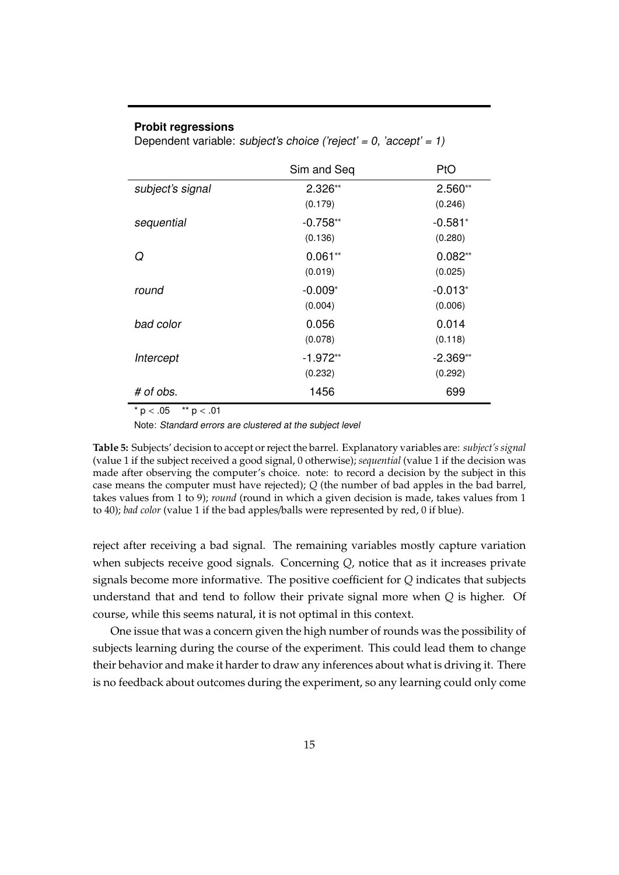## <span id="page-14-0"></span>**Probit regressions**

Dependent variable: subject's choice ('reject' = 0, 'accept' = 1)

|                  | Sim and Seq           | PtO                   |
|------------------|-----------------------|-----------------------|
| subject's signal | $2.326**$<br>(0.179)  | $2.560**$<br>(0.246)  |
| sequential       | $-0.758**$<br>(0.136) | $-0.581*$<br>(0.280)  |
| Q                | $0.061**$<br>(0.019)  | $0.082**$<br>(0.025)  |
| round            | $-0.009*$<br>(0.004)  | $-0.013^*$<br>(0.006) |
| bad color        | 0.056<br>(0.078)      | 0.014<br>(0.118)      |
| Intercept        | $-1.972**$<br>(0.232) | $-2.369**$<br>(0.292) |
| # of obs.        | 1456                  | 699                   |

 $* p < .05$  \*\*  $p < .01$ 

Note: Standard errors are clustered at the subject level

**Table 5:** Subjects' decision to accept or reject the barrel. Explanatory variables are: *subject's signal* (value 1 if the subject received a good signal, 0 otherwise); *sequential* (value 1 if the decision was made after observing the computer's choice. note: to record a decision by the subject in this case means the computer must have rejected); *Q* (the number of bad apples in the bad barrel, takes values from 1 to 9); *round* (round in which a given decision is made, takes values from 1 to 40); *bad color* (value 1 if the bad apples/balls were represented by red, 0 if blue).

reject after receiving a bad signal. The remaining variables mostly capture variation when subjects receive good signals. Concerning *Q*, notice that as it increases private signals become more informative. The positive coefficient for *Q* indicates that subjects understand that and tend to follow their private signal more when *Q* is higher. Of course, while this seems natural, it is not optimal in this context.

One issue that was a concern given the high number of rounds was the possibility of subjects learning during the course of the experiment. This could lead them to change their behavior and make it harder to draw any inferences about what is driving it. There is no feedback about outcomes during the experiment, so any learning could only come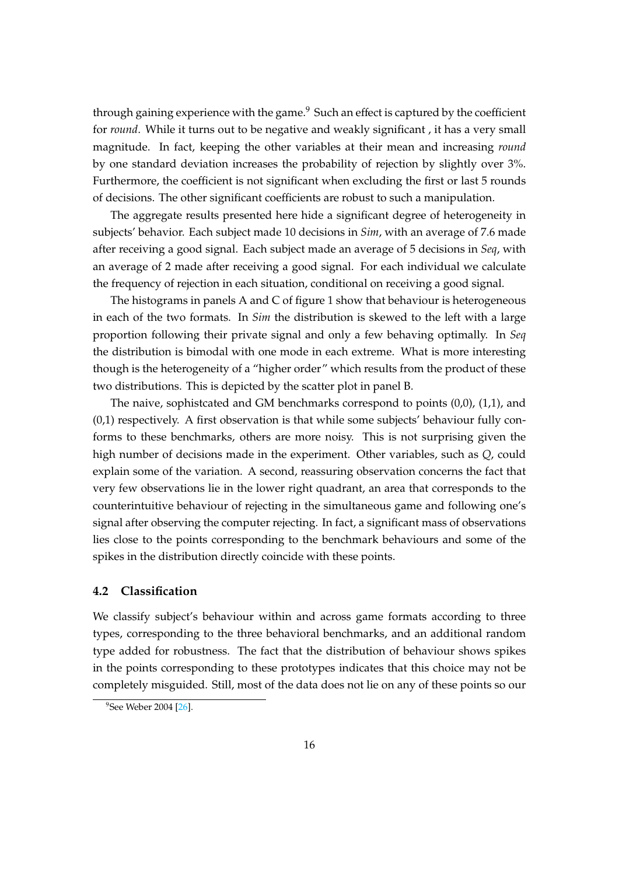through gaining experience with the game. $9$  Such an effect is captured by the coefficient for *round*. While it turns out to be negative and weakly significant , it has a very small magnitude. In fact, keeping the other variables at their mean and increasing *round* by one standard deviation increases the probability of rejection by slightly over 3%. Furthermore, the coefficient is not significant when excluding the first or last 5 rounds of decisions. The other significant coefficients are robust to such a manipulation.

The aggregate results presented here hide a significant degree of heterogeneity in subjects' behavior. Each subject made 10 decisions in *Sim*, with an average of 7.6 made after receiving a good signal. Each subject made an average of 5 decisions in *Seq*, with an average of 2 made after receiving a good signal. For each individual we calculate the frequency of rejection in each situation, conditional on receiving a good signal.

The histograms in panels A and C of figure [1](#page-16-0) show that behaviour is heterogeneous in each of the two formats. In *Sim* the distribution is skewed to the left with a large proportion following their private signal and only a few behaving optimally. In *Seq* the distribution is bimodal with one mode in each extreme. What is more interesting though is the heterogeneity of a "higher order" which results from the product of these two distributions. This is depicted by the scatter plot in panel B.

The naive, sophistcated and GM benchmarks correspond to points (0,0), (1,1), and (0,1) respectively. A first observation is that while some subjects' behaviour fully conforms to these benchmarks, others are more noisy. This is not surprising given the high number of decisions made in the experiment. Other variables, such as *Q*, could explain some of the variation. A second, reassuring observation concerns the fact that very few observations lie in the lower right quadrant, an area that corresponds to the counterintuitive behaviour of rejecting in the simultaneous game and following one's signal after observing the computer rejecting. In fact, a significant mass of observations lies close to the points corresponding to the benchmark behaviours and some of the spikes in the distribution directly coincide with these points.

## **4.2 Classification**

We classify subject's behaviour within and across game formats according to three types, corresponding to the three behavioral benchmarks, and an additional random type added for robustness. The fact that the distribution of behaviour shows spikes in the points corresponding to these prototypes indicates that this choice may not be completely misguided. Still, most of the data does not lie on any of these points so our

<span id="page-15-0"></span><sup>&</sup>lt;sup>9</sup>See Weber 2004 [\[26\]](#page-24-15).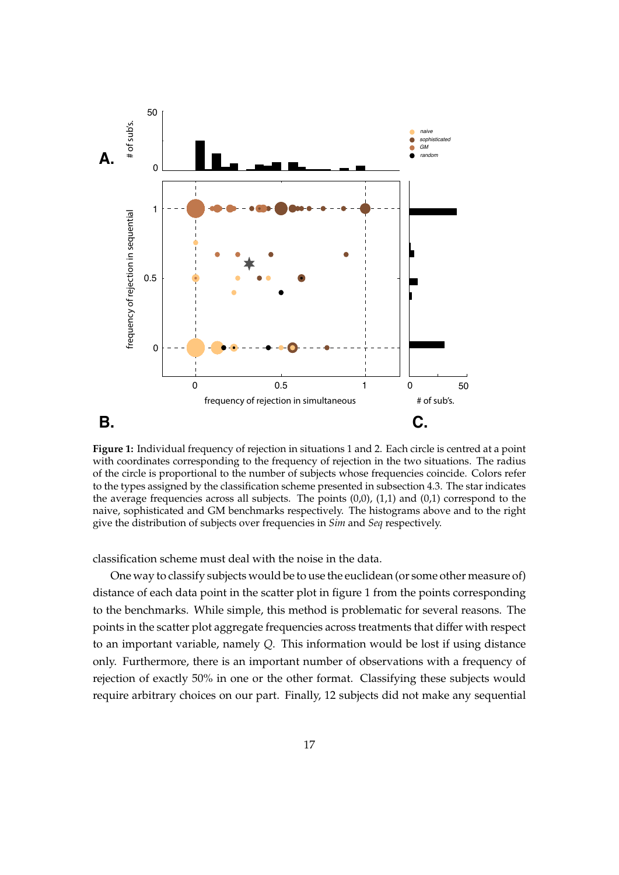<span id="page-16-0"></span>

**Figure 1:** Individual frequency of rejection in situations 1 and 2. Each circle is centred at a point with coordinates corresponding to the frequency of rejection in the two situations. The radius of the circle is proportional to the number of subjects whose frequencies coincide. Colors refer to the types assigned by the classification scheme presented in subsection 4.3. The star indicates the average frequencies across all subjects. The points  $(0,0)$ ,  $(1,1)$  and  $(0,1)$  correspond to the naive, sophisticated and GM benchmarks respectively. The histograms above and to the right give the distribution of subjects over frequencies in *Sim* and *Seq* respectively.

classification scheme must deal with the noise in the data.

One way to classify subjects would be to use the euclidean (or some other measure of) distance of each data point in the scatter plot in figure [1](#page-16-0) from the points corresponding to the benchmarks. While simple, this method is problematic for several reasons. The points in the scatter plot aggregate frequencies across treatments that differ with respect to an important variable, namely *Q*. This information would be lost if using distance only. Furthermore, there is an important number of observations with a frequency of rejection of exactly 50% in one or the other format. Classifying these subjects would require arbitrary choices on our part. Finally, 12 subjects did not make any sequential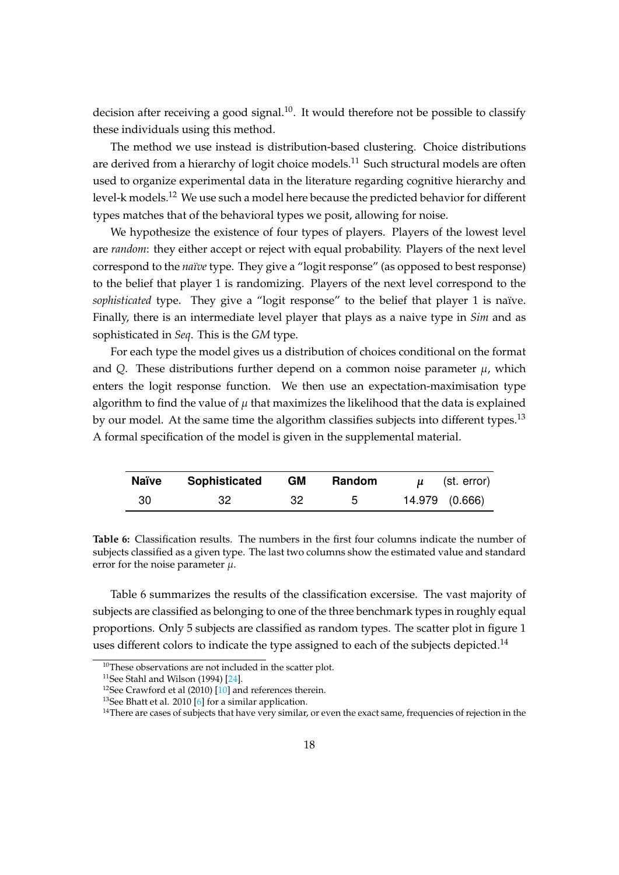decision after receiving a good signal.<sup>[10](#page-17-0)</sup>. It would therefore not be possible to classify these individuals using this method.

The method we use instead is distribution-based clustering. Choice distributions are derived from a hierarchy of logit choice models.<sup>[11](#page-17-1)</sup> Such structural models are often used to organize experimental data in the literature regarding cognitive hierarchy and level-k models.<sup>[12](#page-17-2)</sup> We use such a model here because the predicted behavior for different types matches that of the behavioral types we posit, allowing for noise.

We hypothesize the existence of four types of players. Players of the lowest level are *random*: they either accept or reject with equal probability. Players of the next level correspond to the *naïve* type. They give a "logit response" (as opposed to best response) to the belief that player 1 is randomizing. Players of the next level correspond to the *sophisticated* type. They give a "logit response" to the belief that player 1 is naïve. Finally, there is an intermediate level player that plays as a naive type in *Sim* and as sophisticated in *Seq*. This is the *GM* type.

For each type the model gives us a distribution of choices conditional on the format and *Q*. These distributions further depend on a common noise parameter  $\mu$ , which enters the logit response function. We then use an expectation-maximisation type algorithm to find the value of  $\mu$  that maximizes the likelihood that the data is explained by our model. At the same time the algorithm classifies subjects into different types.<sup>[13](#page-17-3)</sup> A formal specification of the model is given in the supplemental material.

<span id="page-17-4"></span>

| <b>Naïve</b> | <b>Sophisticated</b> | <b>GM</b> | Random | (st. error)    |
|--------------|----------------------|-----------|--------|----------------|
| 30           |                      | 32        | h      | 14.979 (0.666) |

**Table 6:** Classification results. The numbers in the first four columns indicate the number of subjects classified as a given type. The last two columns show the estimated value and standard error for the noise parameter  $\mu$ .

Table [6](#page-17-4) summarizes the results of the classification excersise. The vast majority of subjects are classified as belonging to one of the three benchmark types in roughly equal proportions. Only 5 subjects are classified as random types. The scatter plot in figure [1](#page-16-0) uses different colors to indicate the type assigned to each of the subjects depicted.<sup>[14](#page-17-5)</sup>

<span id="page-17-0"></span> $10$ These observations are not included in the scatter plot.

<span id="page-17-1"></span><sup>&</sup>lt;sup>11</sup>See Stahl and Wilson (1994)  $[24]$ .

<span id="page-17-2"></span><sup>&</sup>lt;sup>12</sup>See Crawford et al (2010)  $[10]$  and references therein.

<span id="page-17-3"></span><sup>&</sup>lt;sup>13</sup>See Bhatt et al. 2010 [\[6\]](#page-23-10) for a similar application.

<span id="page-17-5"></span><sup>&</sup>lt;sup>14</sup>There are cases of subjects that have very similar, or even the exact same, frequencies of rejection in the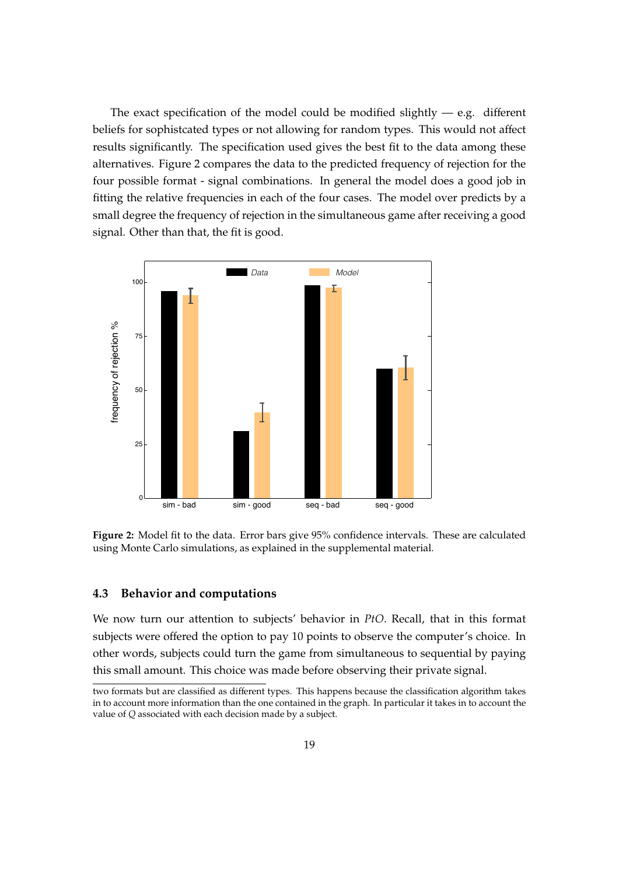The exact specification of the model could be modified slightly  $-$  e.g. different beliefs for sophistcated types or not allowing for random types. This would not affect results significantly. The specification used gives the best fit to the data among these alternatives. Figure [2](#page-18-0) compares the data to the predicted frequency of rejection for the four possible format - signal combinations. In general the model does a good job in fitting the relative frequencies in each of the four cases. The model over predicts by a small degree the frequency of rejection in the simultaneous game after receiving a good signal. Other than that, the fit is good.

<span id="page-18-0"></span>

**Figure 2:** Model fit to the data. Error bars give 95% confidence intervals. These are calculated using Monte Carlo simulations, as explained in the supplemental material.

#### **4.3 Behavior and computations**

We now turn our attention to subjects' behavior in *PtO*. Recall, that in this format subjects were offered the option to pay 10 points to observe the computer's choice. In other words, subjects could turn the game from simultaneous to sequential by paying this small amount. This choice was made before observing their private signal.

two formats but are classified as different types. This happens because the classification algorithm takes in to account more information than the one contained in the graph. In particular it takes in to account the value of *Q* associated with each decision made by a subject.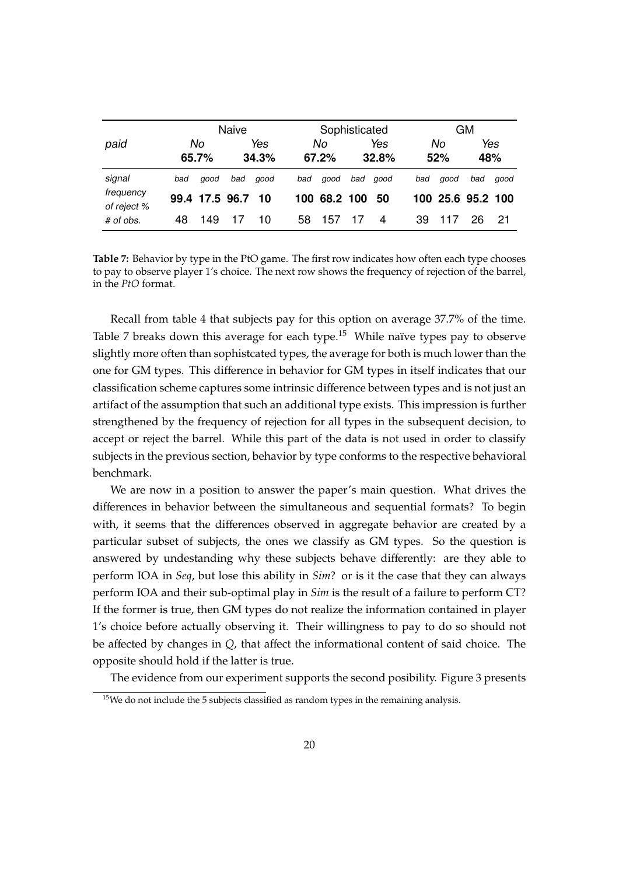<span id="page-19-0"></span>

|                          | <b>Naive</b> |                |     |              |     | Sophisticated |     |              |     | GМ                |            |      |  |
|--------------------------|--------------|----------------|-----|--------------|-----|---------------|-----|--------------|-----|-------------------|------------|------|--|
| paid                     |              | No<br>65.7%    |     | Yes<br>34.3% |     | No<br>67.2%   |     | Yes<br>32.8% |     | No<br>52%         | Yes<br>48% |      |  |
| signal                   | bad          | good           | bad | aood         | bad | good          | bad | good         | bad | good              | bad        | good |  |
| frequency<br>of reject % |              | 99.4 17.5 96.7 |     | 10           |     | 100 68.2 100  |     | 50           |     | 100 25.6 95.2 100 |            |      |  |
| # of obs.                | 48           | 149            |     | 10           | 58  | 157           | 17  | 4            | 39  |                   | 26         | 21   |  |

**Table 7:** Behavior by type in the PtO game. The first row indicates how often each type chooses to pay to observe player 1's choice. The next row shows the frequency of rejection of the barrel, in the *PtO* format.

Recall from table [4](#page-13-0) that subjects pay for this option on average 37.7% of the time. Table [7](#page-19-0) breaks down this average for each type.<sup>[15](#page-19-1)</sup> While naïve types pay to observe slightly more often than sophistcated types, the average for both is much lower than the one for GM types. This difference in behavior for GM types in itself indicates that our classification scheme captures some intrinsic difference between types and is not just an artifact of the assumption that such an additional type exists. This impression is further strengthened by the frequency of rejection for all types in the subsequent decision, to accept or reject the barrel. While this part of the data is not used in order to classify subjects in the previous section, behavior by type conforms to the respective behavioral benchmark.

We are now in a position to answer the paper's main question. What drives the differences in behavior between the simultaneous and sequential formats? To begin with, it seems that the differences observed in aggregate behavior are created by a particular subset of subjects, the ones we classify as GM types. So the question is answered by undestanding why these subjects behave differently: are they able to perform IOA in *Seq*, but lose this ability in *Sim*? or is it the case that they can always perform IOA and their sub-optimal play in *Sim* is the result of a failure to perform CT? If the former is true, then GM types do not realize the information contained in player 1's choice before actually observing it. Their willingness to pay to do so should not be affected by changes in *Q*, that affect the informational content of said choice. The opposite should hold if the latter is true.

The evidence from our experiment supports the second posibility. Figure [3](#page-20-0) presents

<span id="page-19-1"></span> $15$ We do not include the 5 subjects classified as random types in the remaining analysis.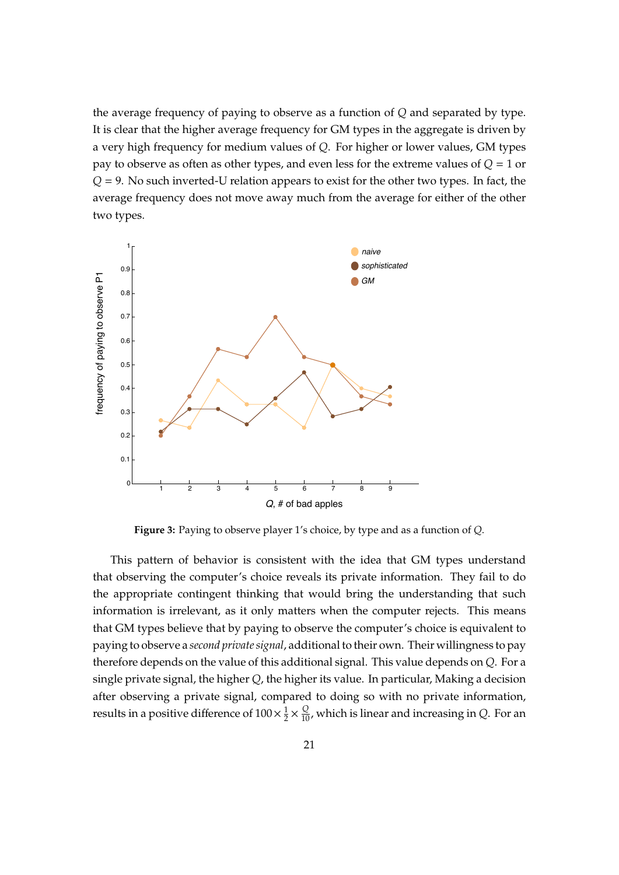the average frequency of paying to observe as a function of *Q* and separated by type. It is clear that the higher average frequency for GM types in the aggregate is driven by a very high frequency for medium values of *Q*. For higher or lower values, GM types pay to observe as often as other types, and even less for the extreme values of *Q* = 1 or *Q* = 9. No such inverted-U relation appears to exist for the other two types. In fact, the average frequency does not move away much from the average for either of the other two types.

<span id="page-20-0"></span>

**Figure 3:** Paying to observe player 1's choice, by type and as a function of *Q*.

This pattern of behavior is consistent with the idea that GM types understand that observing the computer's choice reveals its private information. They fail to do the appropriate contingent thinking that would bring the understanding that such information is irrelevant, as it only matters when the computer rejects. This means that GM types believe that by paying to observe the computer's choice is equivalent to paying to observe a *second private signal*, additional to their own. Their willingness to pay therefore depends on the value of this additional signal. This value depends on *Q*. For a single private signal, the higher *Q*, the higher its value. In particular, Making a decision after observing a private signal, compared to doing so with no private information, results in a positive difference of  $100 \times \frac{1}{2}$  $\frac{1}{2} \times \frac{Q}{10}$ , which is linear and increasing in *Q*. For an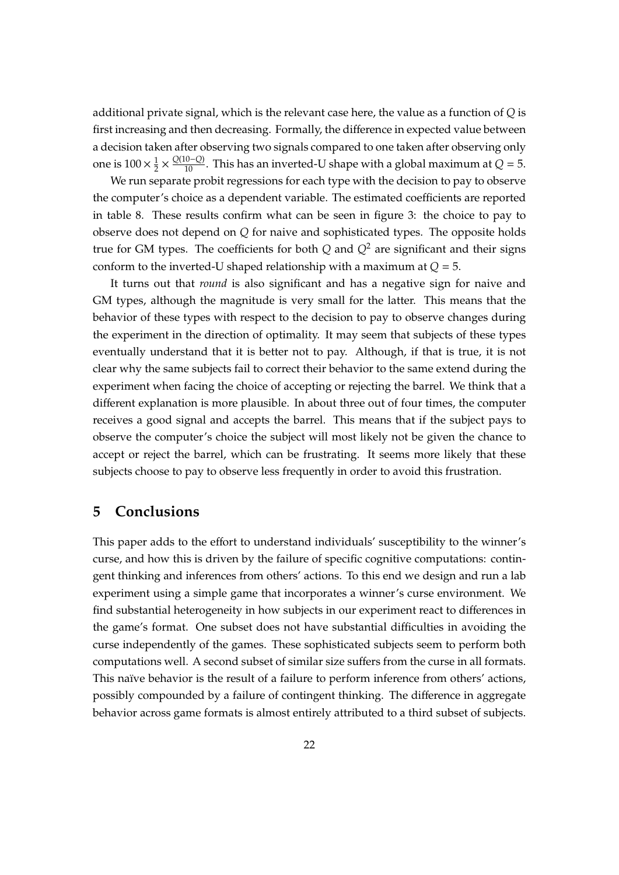additional private signal, which is the relevant case here, the value as a function of *Q* is first increasing and then decreasing. Formally, the difference in expected value between a decision taken after observing two signals compared to one taken after observing only one is  $100 \times \frac{1}{2}$  $\frac{1}{2}$  ×  $\frac{Q(10-Q)}{10}$ . This has an inverted-U shape with a global maximum at *Q* = 5.

We run separate probit regressions for each type with the decision to pay to observe the computer's choice as a dependent variable. The estimated coefficients are reported in table [8.](#page-22-0) These results confirm what can be seen in figure [3:](#page-20-0) the choice to pay to observe does not depend on *Q* for naive and sophisticated types. The opposite holds true for GM types. The coefficients for both  $Q$  and  $Q^2$  are significant and their signs conform to the inverted-U shaped relationship with a maximum at *Q* = 5.

It turns out that *round* is also significant and has a negative sign for naive and GM types, although the magnitude is very small for the latter. This means that the behavior of these types with respect to the decision to pay to observe changes during the experiment in the direction of optimality. It may seem that subjects of these types eventually understand that it is better not to pay. Although, if that is true, it is not clear why the same subjects fail to correct their behavior to the same extend during the experiment when facing the choice of accepting or rejecting the barrel. We think that a different explanation is more plausible. In about three out of four times, the computer receives a good signal and accepts the barrel. This means that if the subject pays to observe the computer's choice the subject will most likely not be given the chance to accept or reject the barrel, which can be frustrating. It seems more likely that these subjects choose to pay to observe less frequently in order to avoid this frustration.

# **5 Conclusions**

This paper adds to the effort to understand individuals' susceptibility to the winner's curse, and how this is driven by the failure of specific cognitive computations: contingent thinking and inferences from others' actions. To this end we design and run a lab experiment using a simple game that incorporates a winner's curse environment. We find substantial heterogeneity in how subjects in our experiment react to differences in the game's format. One subset does not have substantial difficulties in avoiding the curse independently of the games. These sophisticated subjects seem to perform both computations well. A second subset of similar size suffers from the curse in all formats. This naïve behavior is the result of a failure to perform inference from others' actions, possibly compounded by a failure of contingent thinking. The difference in aggregate behavior across game formats is almost entirely attributed to a third subset of subjects.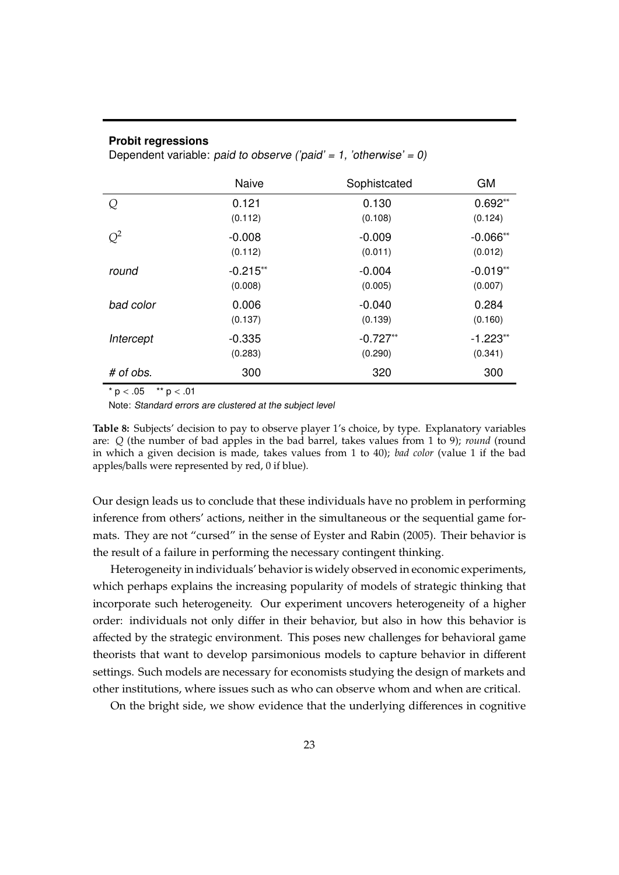#### <span id="page-22-0"></span>**Probit regressions**

Dependent variable: paid to observe ('paid' = 1, 'otherwise' = 0)

|           | <b>Naive</b> | Sophistcated | <b>GM</b>  |
|-----------|--------------|--------------|------------|
| Q         | 0.121        | 0.130        | $0.692**$  |
|           | (0.112)      | (0.108)      | (0.124)    |
| $Q^2$     | $-0.008$     | $-0.009$     | $-0.066**$ |
|           | (0.112)      | (0.011)      | (0.012)    |
| round     | $-0.215**$   | $-0.004$     | $-0.019**$ |
|           | (0.008)      | (0.005)      | (0.007)    |
| bad color | 0.006        | $-0.040$     | 0.284      |
|           | (0.137)      | (0.139)      | (0.160)    |
| Intercept | $-0.335$     | $-0.727**$   | $-1.223**$ |
|           | (0.283)      | (0.290)      | (0.341)    |
| # of obs. | 300          | 320          | 300        |

 $*$  p < .05  $*$   $*$  p < .01

Note: Standard errors are clustered at the subject level

**Table 8:** Subjects' decision to pay to observe player 1's choice, by type. Explanatory variables are: *Q* (the number of bad apples in the bad barrel, takes values from 1 to 9); *round* (round in which a given decision is made, takes values from 1 to 40); *bad color* (value 1 if the bad apples/balls were represented by red, 0 if blue).

Our design leads us to conclude that these individuals have no problem in performing inference from others' actions, neither in the simultaneous or the sequential game formats. They are not "cursed" in the sense of Eyster and Rabin (2005). Their behavior is the result of a failure in performing the necessary contingent thinking.

Heterogeneity in individuals' behavior is widely observed in economic experiments, which perhaps explains the increasing popularity of models of strategic thinking that incorporate such heterogeneity. Our experiment uncovers heterogeneity of a higher order: individuals not only differ in their behavior, but also in how this behavior is affected by the strategic environment. This poses new challenges for behavioral game theorists that want to develop parsimonious models to capture behavior in different settings. Such models are necessary for economists studying the design of markets and other institutions, where issues such as who can observe whom and when are critical.

On the bright side, we show evidence that the underlying differences in cognitive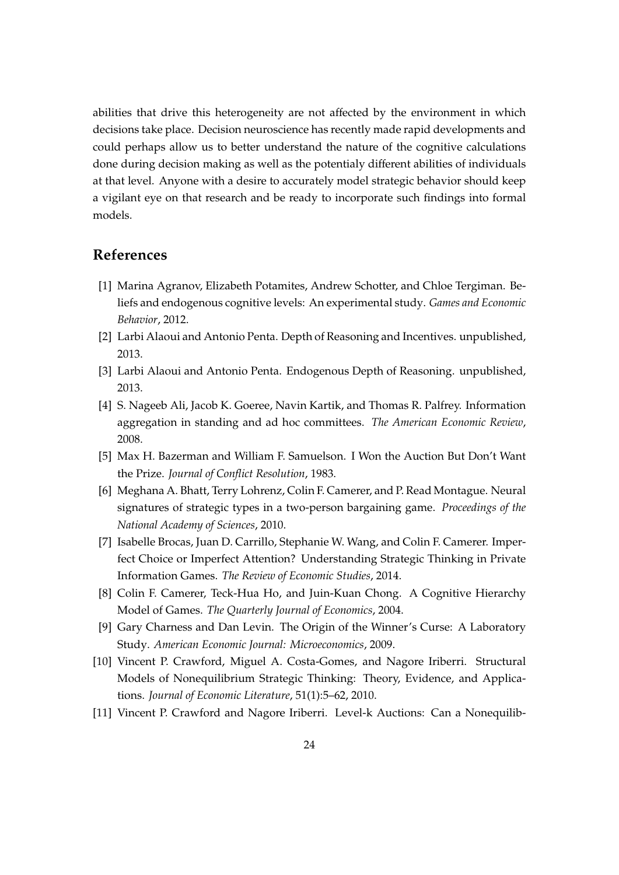abilities that drive this heterogeneity are not affected by the environment in which decisions take place. Decision neuroscience has recently made rapid developments and could perhaps allow us to better understand the nature of the cognitive calculations done during decision making as well as the potentialy different abilities of individuals at that level. Anyone with a desire to accurately model strategic behavior should keep a vigilant eye on that research and be ready to incorporate such findings into formal models.

# **References**

- <span id="page-23-5"></span>[1] Marina Agranov, Elizabeth Potamites, Andrew Schotter, and Chloe Tergiman. Beliefs and endogenous cognitive levels: An experimental study. *Games and Economic Behavior*, 2012.
- <span id="page-23-6"></span>[2] Larbi Alaoui and Antonio Penta. Depth of Reasoning and Incentives. unpublished, 2013.
- <span id="page-23-7"></span>[3] Larbi Alaoui and Antonio Penta. Endogenous Depth of Reasoning. unpublished, 2013.
- <span id="page-23-0"></span>[4] S. Nageeb Ali, Jacob K. Goeree, Navin Kartik, and Thomas R. Palfrey. Information aggregation in standing and ad hoc committees. *The American Economic Review*, 2008.
- <span id="page-23-2"></span>[5] Max H. Bazerman and William F. Samuelson. I Won the Auction But Don't Want the Prize. *Journal of Conflict Resolution*, 1983.
- <span id="page-23-10"></span>[6] Meghana A. Bhatt, Terry Lohrenz, Colin F. Camerer, and P. Read Montague. Neural signatures of strategic types in a two-person bargaining game. *Proceedings of the National Academy of Sciences*, 2010.
- <span id="page-23-8"></span>[7] Isabelle Brocas, Juan D. Carrillo, Stephanie W. Wang, and Colin F. Camerer. Imperfect Choice or Imperfect Attention? Understanding Strategic Thinking in Private Information Games. *The Review of Economic Studies*, 2014.
- <span id="page-23-3"></span>[8] Colin F. Camerer, Teck-Hua Ho, and Juin-Kuan Chong. A Cognitive Hierarchy Model of Games. *The Quarterly Journal of Economics*, 2004.
- <span id="page-23-1"></span>[9] Gary Charness and Dan Levin. The Origin of the Winner's Curse: A Laboratory Study. *American Economic Journal: Microeconomics*, 2009.
- <span id="page-23-9"></span>[10] Vincent P. Crawford, Miguel A. Costa-Gomes, and Nagore Iriberri. Structural Models of Nonequilibrium Strategic Thinking: Theory, Evidence, and Applications. *Journal of Economic Literature*, 51(1):5–62, 2010.
- <span id="page-23-4"></span>[11] Vincent P. Crawford and Nagore Iriberri. Level-k Auctions: Can a Nonequilib-